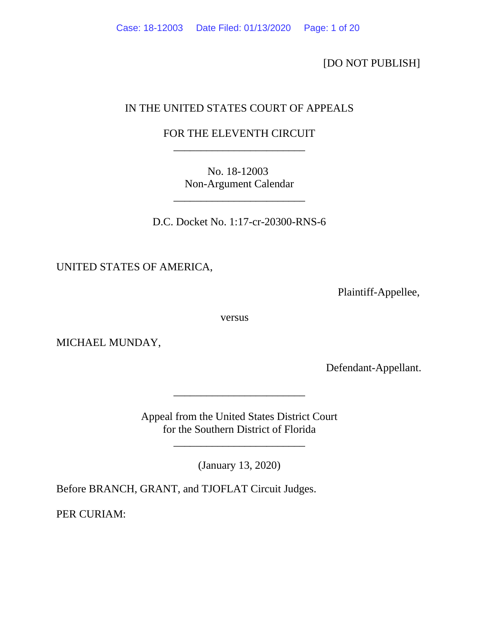[DO NOT PUBLISH]

# IN THE UNITED STATES COURT OF APPEALS

## FOR THE ELEVENTH CIRCUIT \_\_\_\_\_\_\_\_\_\_\_\_\_\_\_\_\_\_\_\_\_\_\_\_

No. 18-12003 Non-Argument Calendar

\_\_\_\_\_\_\_\_\_\_\_\_\_\_\_\_\_\_\_\_\_\_\_\_

D.C. Docket No. 1:17-cr-20300-RNS-6

UNITED STATES OF AMERICA,

Plaintiff-Appellee,

versus

MICHAEL MUNDAY,

Defendant-Appellant.

Appeal from the United States District Court for the Southern District of Florida

\_\_\_\_\_\_\_\_\_\_\_\_\_\_\_\_\_\_\_\_\_\_\_\_

(January 13, 2020)

\_\_\_\_\_\_\_\_\_\_\_\_\_\_\_\_\_\_\_\_\_\_\_\_

Before BRANCH, GRANT, and TJOFLAT Circuit Judges.

PER CURIAM: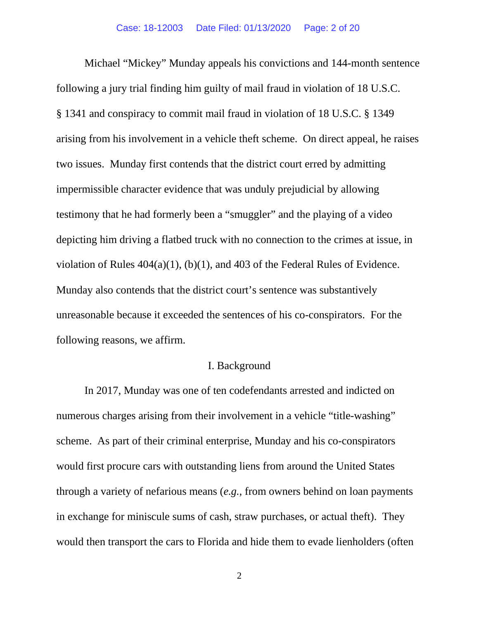Michael "Mickey" Munday appeals his convictions and 144-month sentence following a jury trial finding him guilty of mail fraud in violation of 18 U.S.C. § 1341 and conspiracy to commit mail fraud in violation of 18 U.S.C. § 1349 arising from his involvement in a vehicle theft scheme. On direct appeal, he raises two issues. Munday first contends that the district court erred by admitting impermissible character evidence that was unduly prejudicial by allowing testimony that he had formerly been a "smuggler" and the playing of a video depicting him driving a flatbed truck with no connection to the crimes at issue, in violation of Rules 404(a)(1), (b)(1), and 403 of the Federal Rules of Evidence. Munday also contends that the district court's sentence was substantively unreasonable because it exceeded the sentences of his co-conspirators. For the following reasons, we affirm.

### I. Background

In 2017, Munday was one of ten codefendants arrested and indicted on numerous charges arising from their involvement in a vehicle "title-washing" scheme. As part of their criminal enterprise, Munday and his co-conspirators would first procure cars with outstanding liens from around the United States through a variety of nefarious means (*e.g.*, from owners behind on loan payments in exchange for miniscule sums of cash, straw purchases, or actual theft). They would then transport the cars to Florida and hide them to evade lienholders (often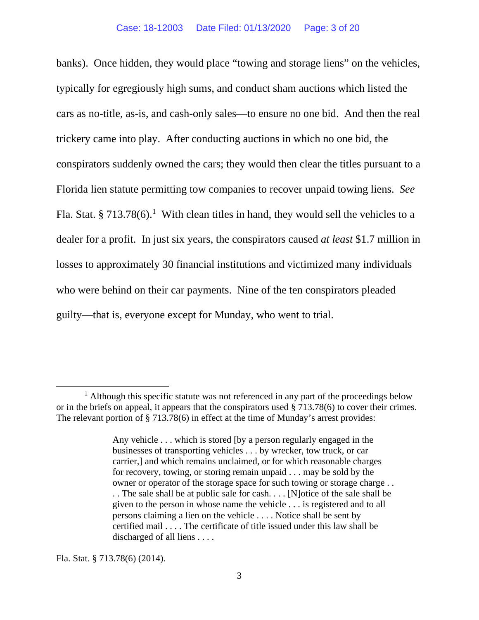banks). Once hidden, they would place "towing and storage liens" on the vehicles, typically for egregiously high sums, and conduct sham auctions which listed the cars as no-title, as-is, and cash-only sales—to ensure no one bid. And then the real trickery came into play. After conducting auctions in which no one bid, the conspirators suddenly owned the cars; they would then clear the titles pursuant to a Florida lien statute permitting tow companies to recover unpaid towing liens. *See* Fla. Stat. § 7[1](#page-2-0)3.78 $(6)$ .<sup>1</sup> With clean titles in hand, they would sell the vehicles to a dealer for a profit. In just six years, the conspirators caused *at least* \$1.7 million in losses to approximately 30 financial institutions and victimized many individuals who were behind on their car payments. Nine of the ten conspirators pleaded guilty—that is, everyone except for Munday, who went to trial.

Fla. Stat. § 713.78(6) (2014).

<span id="page-2-0"></span> $<sup>1</sup>$  Although this specific statute was not referenced in any part of the proceedings below</sup> or in the briefs on appeal, it appears that the conspirators used § 713.78(6) to cover their crimes. The relevant portion of § 713.78(6) in effect at the time of Munday's arrest provides:

Any vehicle . . . which is stored [by a person regularly engaged in the businesses of transporting vehicles . . . by wrecker, tow truck, or car carrier,] and which remains unclaimed, or for which reasonable charges for recovery, towing, or storing remain unpaid . . . may be sold by the owner or operator of the storage space for such towing or storage charge . . . . The sale shall be at public sale for cash. . . . [N]otice of the sale shall be given to the person in whose name the vehicle . . . is registered and to all persons claiming a lien on the vehicle . . . . Notice shall be sent by certified mail . . . . The certificate of title issued under this law shall be discharged of all liens . . . .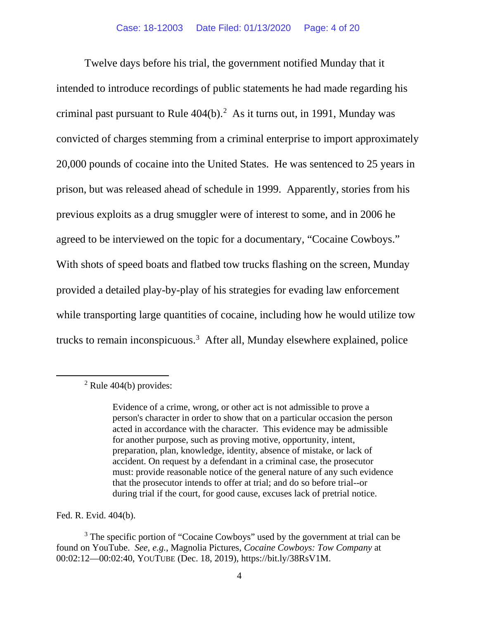Twelve days before his trial, the government notified Munday that it intended to introduce recordings of public statements he had made regarding his criminal past pursuant to Rule  $404(b)$ .<sup>[2](#page-3-0)</sup> As it turns out, in 1991, Munday was convicted of charges stemming from a criminal enterprise to import approximately 20,000 pounds of cocaine into the United States. He was sentenced to 25 years in prison, but was released ahead of schedule in 1999. Apparently, stories from his previous exploits as a drug smuggler were of interest to some, and in 2006 he agreed to be interviewed on the topic for a documentary, "Cocaine Cowboys." With shots of speed boats and flatbed tow trucks flashing on the screen, Munday provided a detailed play-by-play of his strategies for evading law enforcement while transporting large quantities of cocaine, including how he would utilize tow trucks to remain inconspicuous. [3](#page-3-1) After all, Munday elsewhere explained, police

Fed. R. Evid. 404(b).

<span id="page-3-0"></span> $2$  Rule 404(b) provides:

Evidence of a crime, wrong, or other act is not admissible to prove a person's character in order to show that on a particular occasion the person acted in accordance with the character. This evidence may be admissible for another purpose, such as proving motive, opportunity, intent, preparation, plan, knowledge, identity, absence of mistake, or lack of accident. On request by a defendant in a criminal case, the prosecutor must: provide reasonable notice of the general nature of any such evidence that the prosecutor intends to offer at trial; and do so before trial--or during trial if the court, for good cause, excuses lack of pretrial notice.

<span id="page-3-1"></span><sup>&</sup>lt;sup>3</sup> The specific portion of "Cocaine Cowboys" used by the government at trial can be found on YouTube. *See, e.g.*, Magnolia Pictures, *Cocaine Cowboys: Tow Company* at 00:02:12—00:02:40, YOUTUBE (Dec. 18, 2019), https://bit.ly/38RsV1M.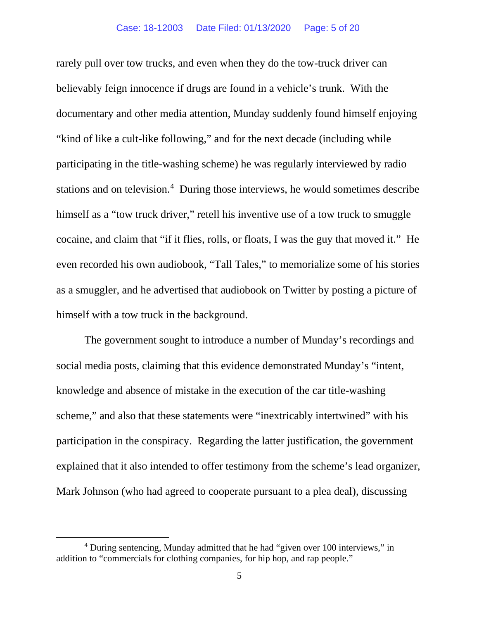rarely pull over tow trucks, and even when they do the tow-truck driver can believably feign innocence if drugs are found in a vehicle's trunk. With the documentary and other media attention, Munday suddenly found himself enjoying "kind of like a cult-like following," and for the next decade (including while participating in the title-washing scheme) he was regularly interviewed by radio stations and on television.<sup>[4](#page-4-0)</sup> During those interviews, he would sometimes describe himself as a "tow truck driver," retell his inventive use of a tow truck to smuggle cocaine, and claim that "if it flies, rolls, or floats, I was the guy that moved it." He even recorded his own audiobook, "Tall Tales," to memorialize some of his stories as a smuggler, and he advertised that audiobook on Twitter by posting a picture of himself with a tow truck in the background.

The government sought to introduce a number of Munday's recordings and social media posts, claiming that this evidence demonstrated Munday's "intent, knowledge and absence of mistake in the execution of the car title-washing scheme," and also that these statements were "inextricably intertwined" with his participation in the conspiracy. Regarding the latter justification, the government explained that it also intended to offer testimony from the scheme's lead organizer, Mark Johnson (who had agreed to cooperate pursuant to a plea deal), discussing

<span id="page-4-0"></span><sup>&</sup>lt;sup>4</sup> During sentencing, Munday admitted that he had "given over 100 interviews," in addition to "commercials for clothing companies, for hip hop, and rap people."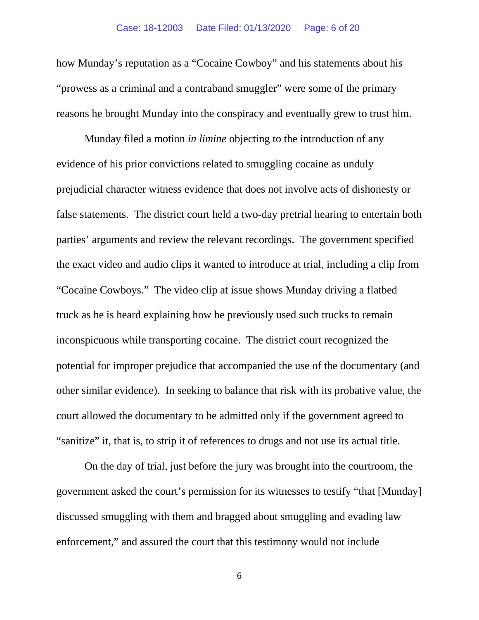how Munday's reputation as a "Cocaine Cowboy" and his statements about his "prowess as a criminal and a contraband smuggler" were some of the primary reasons he brought Munday into the conspiracy and eventually grew to trust him.

Munday filed a motion *in limine* objecting to the introduction of any evidence of his prior convictions related to smuggling cocaine as unduly prejudicial character witness evidence that does not involve acts of dishonesty or false statements. The district court held a two-day pretrial hearing to entertain both parties' arguments and review the relevant recordings. The government specified the exact video and audio clips it wanted to introduce at trial, including a clip from "Cocaine Cowboys." The video clip at issue shows Munday driving a flatbed truck as he is heard explaining how he previously used such trucks to remain inconspicuous while transporting cocaine. The district court recognized the potential for improper prejudice that accompanied the use of the documentary (and other similar evidence). In seeking to balance that risk with its probative value, the court allowed the documentary to be admitted only if the government agreed to "sanitize" it, that is, to strip it of references to drugs and not use its actual title.

On the day of trial, just before the jury was brought into the courtroom, the government asked the court's permission for its witnesses to testify "that [Munday] discussed smuggling with them and bragged about smuggling and evading law enforcement," and assured the court that this testimony would not include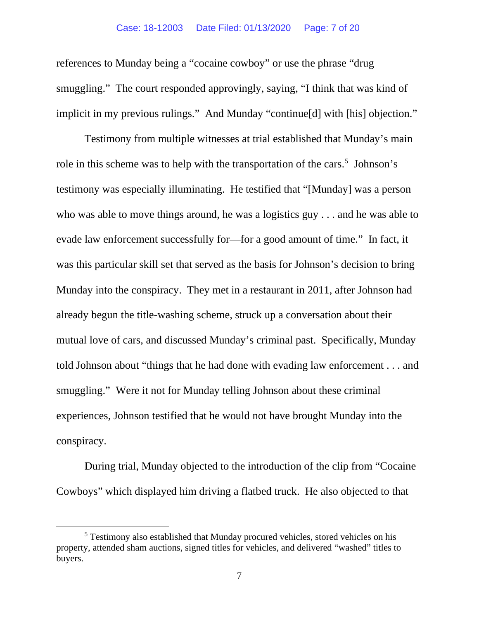references to Munday being a "cocaine cowboy" or use the phrase "drug smuggling." The court responded approvingly, saying, "I think that was kind of implicit in my previous rulings." And Munday "continue[d] with [his] objection."

Testimony from multiple witnesses at trial established that Munday's main role in this scheme was to help with the transportation of the cars.<sup>[5](#page-6-0)</sup> Johnson's testimony was especially illuminating. He testified that "[Munday] was a person who was able to move things around, he was a logistics guy . . . and he was able to evade law enforcement successfully for—for a good amount of time." In fact, it was this particular skill set that served as the basis for Johnson's decision to bring Munday into the conspiracy. They met in a restaurant in 2011, after Johnson had already begun the title-washing scheme, struck up a conversation about their mutual love of cars, and discussed Munday's criminal past. Specifically, Munday told Johnson about "things that he had done with evading law enforcement . . . and smuggling."Were it not for Munday telling Johnson about these criminal experiences, Johnson testified that he would not have brought Munday into the conspiracy.

During trial, Munday objected to the introduction of the clip from "Cocaine Cowboys" which displayed him driving a flatbed truck. He also objected to that

<span id="page-6-0"></span><sup>&</sup>lt;sup>5</sup> Testimony also established that Munday procured vehicles, stored vehicles on his property, attended sham auctions, signed titles for vehicles, and delivered "washed" titles to buyers.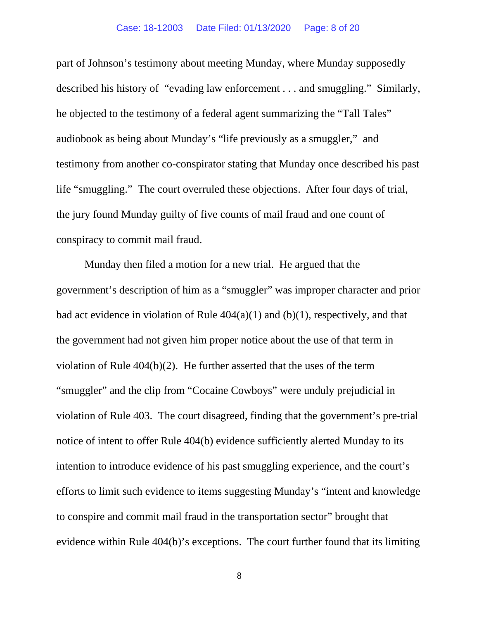#### Case: 18-12003 Date Filed: 01/13/2020 Page: 8 of 20

part of Johnson's testimony about meeting Munday, where Munday supposedly described his history of "evading law enforcement . . . and smuggling." Similarly, he objected to the testimony of a federal agent summarizing the "Tall Tales" audiobook as being about Munday's "life previously as a smuggler," and testimony from another co-conspirator stating that Munday once described his past life "smuggling." The court overruled these objections. After four days of trial, the jury found Munday guilty of five counts of mail fraud and one count of conspiracy to commit mail fraud.

Munday then filed a motion for a new trial. He argued that the government's description of him as a "smuggler" was improper character and prior bad act evidence in violation of Rule  $404(a)(1)$  and (b)(1), respectively, and that the government had not given him proper notice about the use of that term in violation of Rule 404(b)(2). He further asserted that the uses of the term "smuggler" and the clip from "Cocaine Cowboys" were unduly prejudicial in violation of Rule 403. The court disagreed, finding that the government's pre-trial notice of intent to offer Rule 404(b) evidence sufficiently alerted Munday to its intention to introduce evidence of his past smuggling experience, and the court's efforts to limit such evidence to items suggesting Munday's "intent and knowledge to conspire and commit mail fraud in the transportation sector" brought that evidence within Rule 404(b)'s exceptions. The court further found that its limiting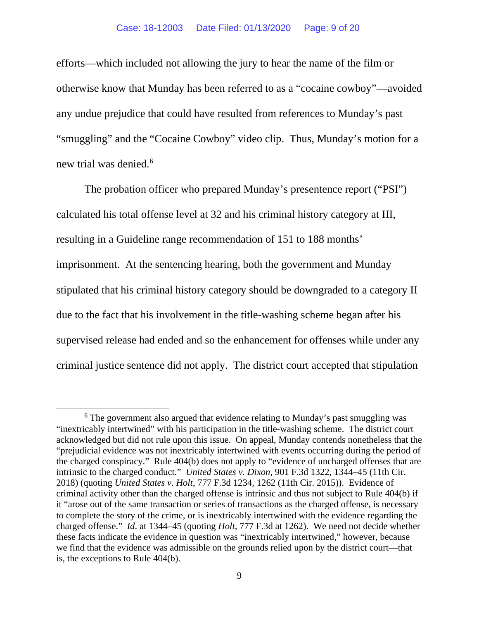#### Case: 18-12003 Date Filed: 01/13/2020 Page: 9 of 20

efforts—which included not allowing the jury to hear the name of the film or otherwise know that Munday has been referred to as a "cocaine cowboy"—avoided any undue prejudice that could have resulted from references to Munday's past "smuggling" and the "Cocaine Cowboy" video clip. Thus, Munday's motion for a new trial was denied.<sup>[6](#page-8-0)</sup>

The probation officer who prepared Munday's presentence report ("PSI") calculated his total offense level at 32 and his criminal history category at III, resulting in a Guideline range recommendation of 151 to 188 months' imprisonment.At the sentencing hearing, both the government and Munday stipulated that his criminal history category should be downgraded to a category II due to the fact that his involvement in the title-washing scheme began after his supervised release had ended and so the enhancement for offenses while under any criminal justice sentence did not apply. The district court accepted that stipulation

<span id="page-8-0"></span><sup>&</sup>lt;sup>6</sup> The government also argued that evidence relating to Munday's past smuggling was "inextricably intertwined" with his participation in the title-washing scheme. The district court acknowledged but did not rule upon this issue. On appeal, Munday contends nonetheless that the "prejudicial evidence was not inextricably intertwined with events occurring during the period of the charged conspiracy." Rule 404(b) does not apply to "evidence of uncharged offenses that are intrinsic to the charged conduct." *United States v. Dixon*, 901 F.3d 1322, 1344–45 (11th Cir. 2018) (quoting *United States v. Holt*, 777 F.3d 1234, 1262 (11th Cir. 2015)). Evidence of criminal activity other than the charged offense is intrinsic and thus not subject to Rule 404(b) if it "arose out of the same transaction or series of transactions as the charged offense, is necessary to complete the story of the crime, or is inextricably intertwined with the evidence regarding the charged offense." *Id*. at 1344–45 (quoting *Holt*, 777 F.3d at 1262). We need not decide whether these facts indicate the evidence in question was "inextricably intertwined," however, because we find that the evidence was admissible on the grounds relied upon by the district court—that is, the exceptions to Rule 404(b).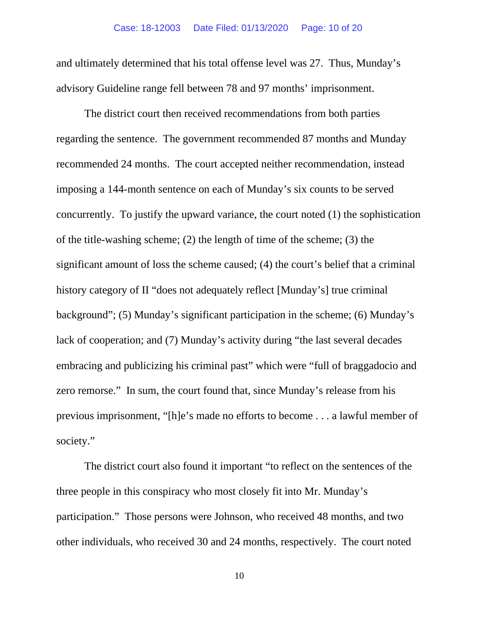and ultimately determined that his total offense level was 27. Thus, Munday's advisory Guideline range fell between 78 and 97 months' imprisonment.

The district court then received recommendations from both parties regarding the sentence. The government recommended 87 months and Munday recommended 24 months. The court accepted neither recommendation, instead imposing a 144-month sentence on each of Munday's six counts to be served concurrently. To justify the upward variance, the court noted (1) the sophistication of the title-washing scheme; (2) the length of time of the scheme; (3) the significant amount of loss the scheme caused; (4) the court's belief that a criminal history category of II "does not adequately reflect [Munday's] true criminal background"; (5) Munday's significant participation in the scheme; (6) Munday's lack of cooperation; and (7) Munday's activity during "the last several decades embracing and publicizing his criminal past" which were "full of braggadocio and zero remorse." In sum, the court found that, since Munday's release from his previous imprisonment, "[h]e's made no efforts to become . . . a lawful member of society."

The district court also found it important "to reflect on the sentences of the three people in this conspiracy who most closely fit into Mr. Munday's participation." Those persons were Johnson, who received 48 months, and two other individuals, who received 30 and 24 months, respectively. The court noted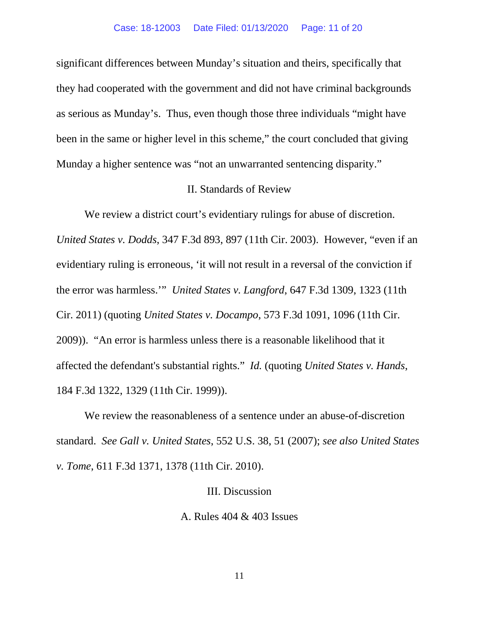significant differences between Munday's situation and theirs, specifically that they had cooperated with the government and did not have criminal backgrounds as serious as Munday's. Thus, even though those three individuals "might have been in the same or higher level in this scheme," the court concluded that giving Munday a higher sentence was "not an unwarranted sentencing disparity."

### II. Standards of Review

We review a district court's evidentiary rulings for abuse of discretion. *United States v. Dodds*, 347 F.3d 893, 897 (11th Cir. 2003). However, "even if an evidentiary ruling is erroneous, 'it will not result in a reversal of the conviction if the error was harmless.'" *United States v. Langford*, 647 F.3d 1309, 1323 (11th Cir. 2011) (quoting *United States v. Docampo*, 573 F.3d 1091, 1096 (11th Cir. 2009)). "An error is harmless unless there is a reasonable likelihood that it affected the defendant's substantial rights." *Id.* (quoting *United States v. Hands*, 184 F.3d 1322, 1329 (11th Cir. 1999)).

We review the reasonableness of a sentence under an abuse-of-discretion standard. *See Gall v. United States*, 552 U.S. 38, 51 (2007); *see also United States v. Tome*, 611 F.3d 1371, 1378 (11th Cir. 2010).

#### III. Discussion

A. Rules 404 & 403 Issues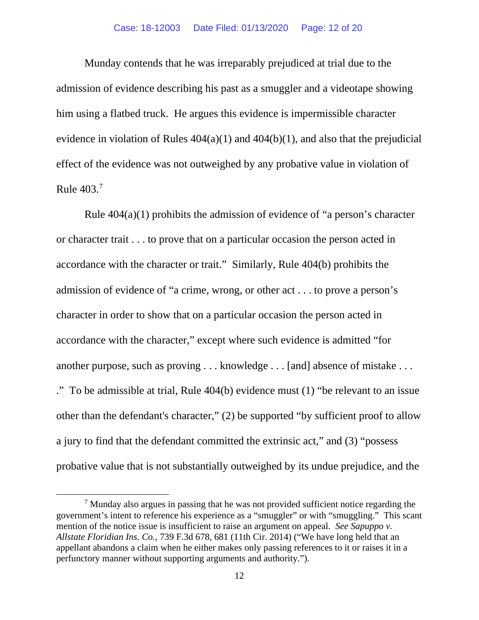#### Case: 18-12003 Date Filed: 01/13/2020 Page: 12 of 20

Munday contends that he was irreparably prejudiced at trial due to the admission of evidence describing his past as a smuggler and a videotape showing him using a flatbed truck. He argues this evidence is impermissible character evidence in violation of Rules  $404(a)(1)$  and  $404(b)(1)$ , and also that the prejudicial effect of the evidence was not outweighed by any probative value in violation of Rule 403.[7](#page-11-0)

Rule 404(a)(1) prohibits the admission of evidence of "a person's character or character trait . . . to prove that on a particular occasion the person acted in accordance with the character or trait." Similarly, Rule 404(b) prohibits the admission of evidence of "a crime, wrong, or other act . . . to prove a person's character in order to show that on a particular occasion the person acted in accordance with the character," except where such evidence is admitted "for another purpose, such as proving . . . knowledge . . . [and] absence of mistake . . . ." To be admissible at trial, Rule 404(b) evidence must (1) "be relevant to an issue other than the defendant's character," (2) be supported "by sufficient proof to allow a jury to find that the defendant committed the extrinsic act," and (3) "possess probative value that is not substantially outweighed by its undue prejudice, and the

<span id="page-11-0"></span> $<sup>7</sup>$  Munday also argues in passing that he was not provided sufficient notice regarding the</sup> government's intent to reference his experience as a "smuggler" or with "smuggling." This scant mention of the notice issue is insufficient to raise an argument on appeal. *See Sapuppo v. Allstate Floridian Ins. Co.*, 739 F.3d 678, 681 (11th Cir. 2014) ("We have long held that an appellant abandons a claim when he either makes only passing references to it or raises it in a perfunctory manner without supporting arguments and authority.").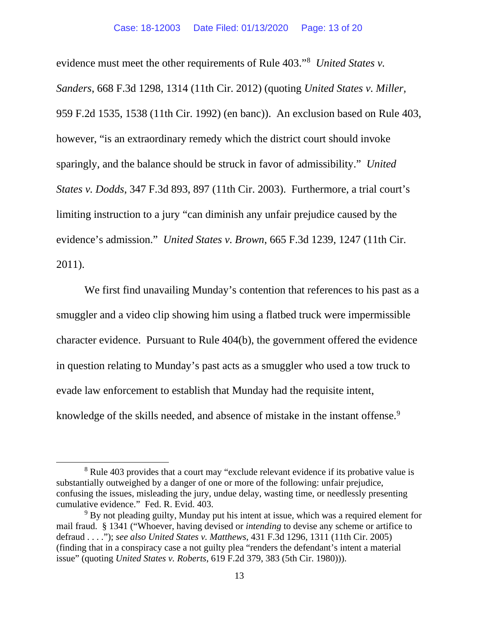evidence must meet the other requirements of Rule 403."[8](#page-12-0) *United States v. Sanders*, 668 F.3d 1298, 1314 (11th Cir. 2012) (quoting *United States v. Miller,* 959 F.2d 1535, 1538 (11th Cir. 1992) (en banc)). An exclusion based on Rule 403, however, "is an extraordinary remedy which the district court should invoke sparingly, and the balance should be struck in favor of admissibility." *United States v. Dodds*, 347 F.3d 893, 897 (11th Cir. 2003). Furthermore, a trial court's limiting instruction to a jury "can diminish any unfair prejudice caused by the evidence's admission." *United States v. Brown*, 665 F.3d 1239, 1247 (11th Cir. 2011).

We first find unavailing Munday's contention that references to his past as a smuggler and a video clip showing him using a flatbed truck were impermissible character evidence. Pursuant to Rule 404(b), the government offered the evidence in question relating to Munday's past acts as a smuggler who used a tow truck to evade law enforcement to establish that Munday had the requisite intent, knowledge of the skills needed, and absence of mistake in the instant offense.<sup>[9](#page-12-1)</sup>

<span id="page-12-0"></span><sup>&</sup>lt;sup>8</sup> Rule 403 provides that a court may "exclude relevant evidence if its probative value is substantially outweighed by a danger of one or more of the following: unfair prejudice, confusing the issues, misleading the jury, undue delay, wasting time, or needlessly presenting cumulative evidence." Fed. R. Evid. 403.

<span id="page-12-1"></span><sup>9</sup> By not pleading guilty, Munday put his intent at issue, which was a required element for mail fraud. § 1341 ("Whoever, having devised or *intending* to devise any scheme or artifice to defraud . . . ."); *see also United States v. Matthews*, 431 F.3d 1296, 1311 (11th Cir. 2005) (finding that in a conspiracy case a not guilty plea "renders the defendant's intent a material issue" (quoting *United States v. Roberts*, 619 F.2d 379, 383 (5th Cir. 1980))).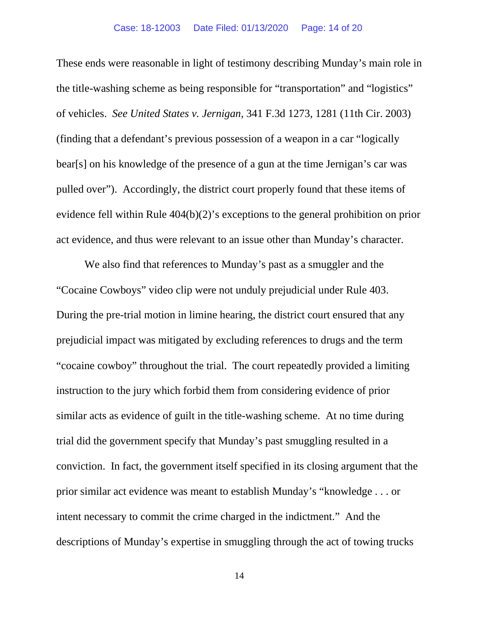These ends were reasonable in light of testimony describing Munday's main role in the title-washing scheme as being responsible for "transportation" and "logistics" of vehicles. *See United States v. Jernigan*, 341 F.3d 1273, 1281 (11th Cir. 2003) (finding that a defendant's previous possession of a weapon in a car "logically bear[s] on his knowledge of the presence of a gun at the time Jernigan's car was pulled over"). Accordingly, the district court properly found that these items of evidence fell within Rule 404(b)(2)'s exceptions to the general prohibition on prior act evidence, and thus were relevant to an issue other than Munday's character.

We also find that references to Munday's past as a smuggler and the "Cocaine Cowboys" video clip were not unduly prejudicial under Rule 403. During the pre-trial motion in limine hearing, the district court ensured that any prejudicial impact was mitigated by excluding references to drugs and the term "cocaine cowboy" throughout the trial. The court repeatedly provided a limiting instruction to the jury which forbid them from considering evidence of prior similar acts as evidence of guilt in the title-washing scheme. At no time during trial did the government specify that Munday's past smuggling resulted in a conviction. In fact, the government itself specified in its closing argument that the prior similar act evidence was meant to establish Munday's "knowledge . . . or intent necessary to commit the crime charged in the indictment." And the descriptions of Munday's expertise in smuggling through the act of towing trucks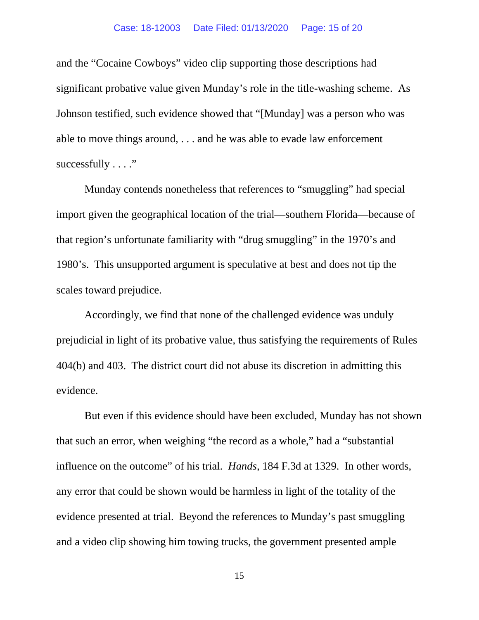and the "Cocaine Cowboys" video clip supporting those descriptions had significant probative value given Munday's role in the title-washing scheme. As Johnson testified, such evidence showed that "[Munday] was a person who was able to move things around, . . . and he was able to evade law enforcement successfully . . . ."

Munday contends nonetheless that references to "smuggling" had special import given the geographical location of the trial—southern Florida—because of that region's unfortunate familiarity with "drug smuggling" in the 1970's and 1980's. This unsupported argument is speculative at best and does not tip the scales toward prejudice.

Accordingly, we find that none of the challenged evidence was unduly prejudicial in light of its probative value, thus satisfying the requirements of Rules 404(b) and 403. The district court did not abuse its discretion in admitting this evidence.

But even if this evidence should have been excluded, Munday has not shown that such an error, when weighing "the record as a whole," had a "substantial influence on the outcome" of his trial. *Hands*, 184 F.3d at 1329. In other words, any error that could be shown would be harmless in light of the totality of the evidence presented at trial. Beyond the references to Munday's past smuggling and a video clip showing him towing trucks, the government presented ample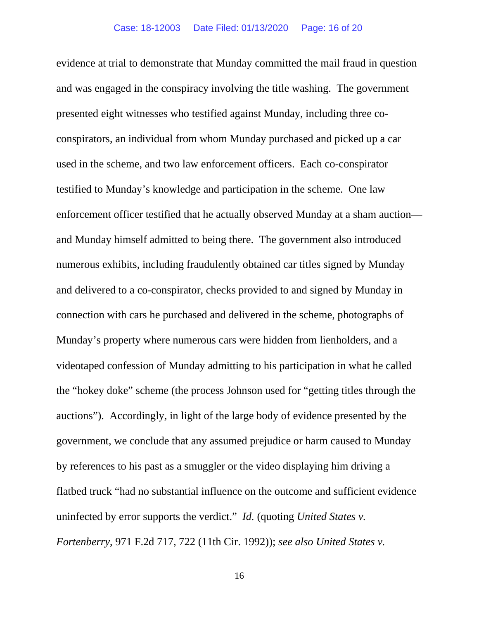evidence at trial to demonstrate that Munday committed the mail fraud in question and was engaged in the conspiracy involving the title washing. The government presented eight witnesses who testified against Munday, including three coconspirators, an individual from whom Munday purchased and picked up a car used in the scheme, and two law enforcement officers. Each co-conspirator testified to Munday's knowledge and participation in the scheme. One law enforcement officer testified that he actually observed Munday at a sham auction and Munday himself admitted to being there. The government also introduced numerous exhibits, including fraudulently obtained car titles signed by Munday and delivered to a co-conspirator, checks provided to and signed by Munday in connection with cars he purchased and delivered in the scheme, photographs of Munday's property where numerous cars were hidden from lienholders, and a videotaped confession of Munday admitting to his participation in what he called the "hokey doke" scheme (the process Johnson used for "getting titles through the auctions"). Accordingly, in light of the large body of evidence presented by the government, we conclude that any assumed prejudice or harm caused to Munday by references to his past as a smuggler or the video displaying him driving a flatbed truck "had no substantial influence on the outcome and sufficient evidence uninfected by error supports the verdict." *Id.* (quoting *United States v. Fortenberry*, 971 F.2d 717, 722 (11th Cir. 1992)); *see also United States v.*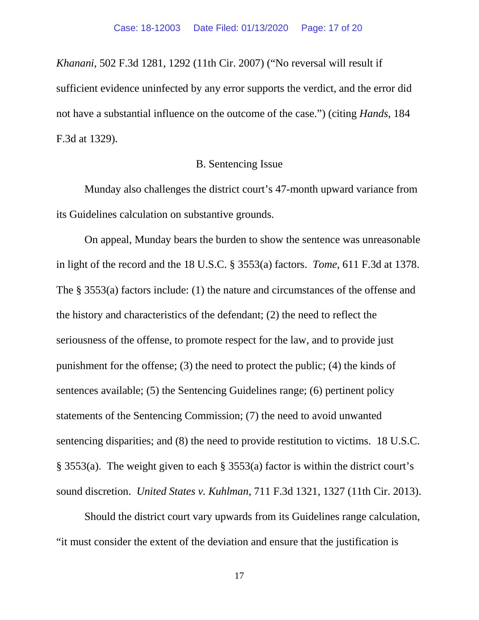*Khanani*, 502 F.3d 1281, 1292 (11th Cir. 2007) ("No reversal will result if sufficient evidence uninfected by any error supports the verdict, and the error did not have a substantial influence on the outcome of the case.") (citing *Hands*, 184 F.3d at 1329).

### B. Sentencing Issue

Munday also challenges the district court's 47-month upward variance from its Guidelines calculation on substantive grounds.

On appeal, Munday bears the burden to show the sentence was unreasonable in light of the record and the 18 U.S.C. § 3553(a) factors. *Tome*, 611 F.3d at 1378. The § 3553(a) factors include: (1) the nature and circumstances of the offense and the history and characteristics of the defendant; (2) the need to reflect the seriousness of the offense, to promote respect for the law, and to provide just punishment for the offense; (3) the need to protect the public; (4) the kinds of sentences available; (5) the Sentencing Guidelines range; (6) pertinent policy statements of the Sentencing Commission; (7) the need to avoid unwanted sentencing disparities; and (8) the need to provide restitution to victims. 18 U.S.C. § 3553(a). The weight given to each § 3553(a) factor is within the district court's sound discretion. *United States v. Kuhlman*, 711 F.3d 1321, 1327 (11th Cir. 2013).

Should the district court vary upwards from its Guidelines range calculation, "it must consider the extent of the deviation and ensure that the justification is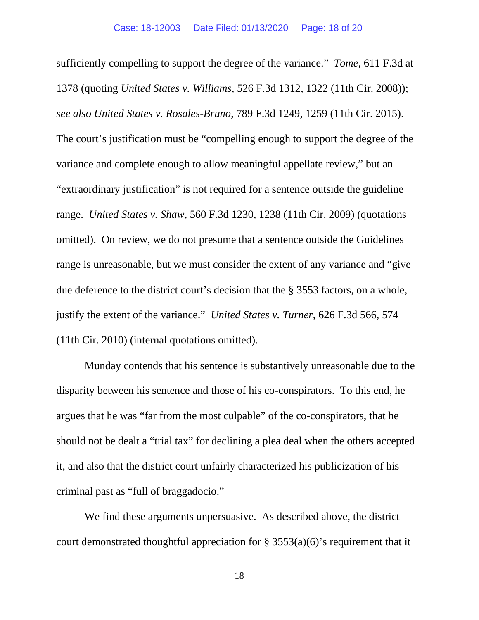sufficiently compelling to support the degree of the variance." *Tome*, 611 F.3d at 1378 (quoting *United States v. Williams*, 526 F.3d 1312, 1322 (11th Cir. 2008)); *see also United States v. Rosales-Bruno*, 789 F.3d 1249, 1259 (11th Cir. 2015). The court's justification must be "compelling enough to support the degree of the variance and complete enough to allow meaningful appellate review," but an "extraordinary justification" is not required for a sentence outside the guideline range. *United States v. Shaw*, 560 F.3d 1230, 1238 (11th Cir. 2009) (quotations omitted). On review, we do not presume that a sentence outside the Guidelines range is unreasonable, but we must consider the extent of any variance and "give due deference to the district court's decision that the § 3553 factors, on a whole, justify the extent of the variance." *United States v. Turner*, 626 F.3d 566, 574 (11th Cir. 2010) (internal quotations omitted).

Munday contends that his sentence is substantively unreasonable due to the disparity between his sentence and those of his co-conspirators. To this end, he argues that he was "far from the most culpable" of the co-conspirators, that he should not be dealt a "trial tax" for declining a plea deal when the others accepted it, and also that the district court unfairly characterized his publicization of his criminal past as "full of braggadocio."

We find these arguments unpersuasive. As described above, the district court demonstrated thoughtful appreciation for  $\S 3553(a)(6)$ 's requirement that it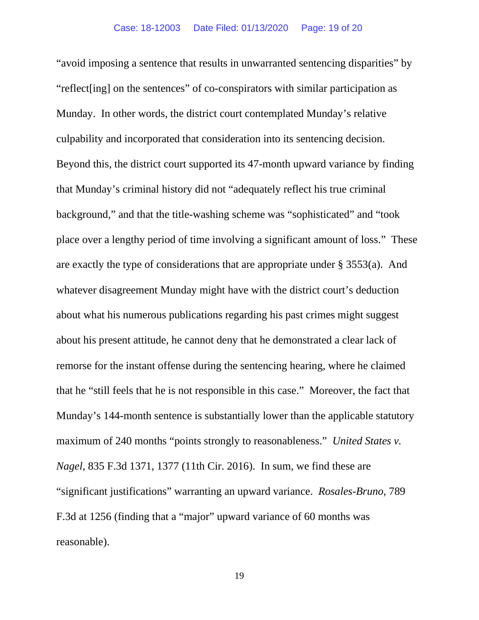"avoid imposing a sentence that results in unwarranted sentencing disparities" by "reflect[ing] on the sentences" of co-conspirators with similar participation as Munday. In other words, the district court contemplated Munday's relative culpability and incorporated that consideration into its sentencing decision. Beyond this, the district court supported its 47-month upward variance by finding that Munday's criminal history did not "adequately reflect his true criminal background," and that the title-washing scheme was "sophisticated" and "took place over a lengthy period of time involving a significant amount of loss." These are exactly the type of considerations that are appropriate under § 3553(a). And whatever disagreement Munday might have with the district court's deduction about what his numerous publications regarding his past crimes might suggest about his present attitude, he cannot deny that he demonstrated a clear lack of remorse for the instant offense during the sentencing hearing, where he claimed that he "still feels that he is not responsible in this case." Moreover, the fact that Munday's 144-month sentence is substantially lower than the applicable statutory maximum of 240 months "points strongly to reasonableness." *United States v. Nagel*, 835 F.3d 1371, 1377 (11th Cir. 2016). In sum, we find these are "significant justifications" warranting an upward variance. *Rosales-Bruno*, 789 F.3d at 1256 (finding that a "major" upward variance of 60 months was reasonable).